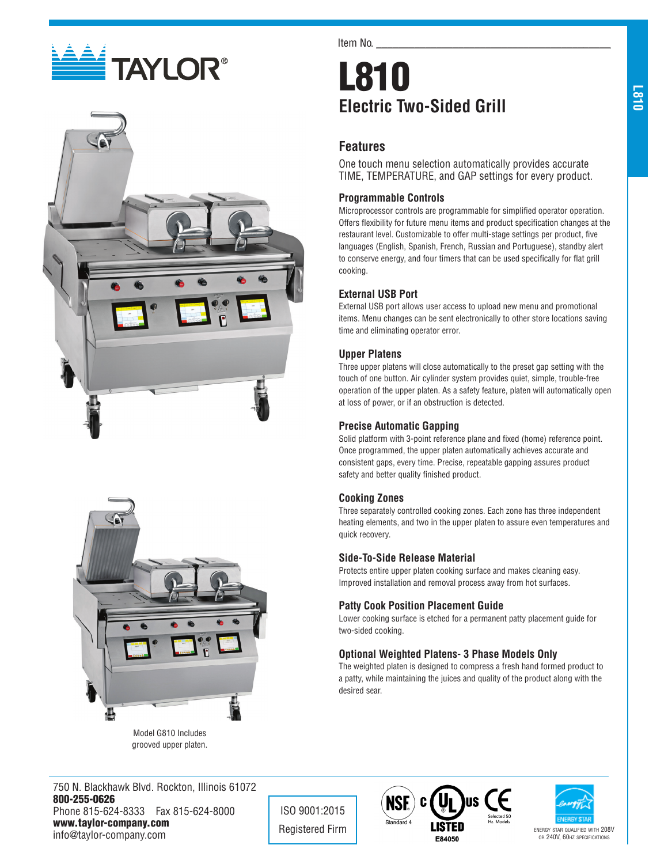# **EN TAYLOR®**





grooved upper platen.

Item No.

# L810 **Electric Two-Sided Grill**

# **Features**

One touch menu selection automatically provides accurate TIME, TEMPERATURE, and GAP settings for every product.

#### **Programmable Controls**

Microprocessor controls are programmable for simplified operator operation. Offers flexibility for future menu items and product specification changes at the restaurant level. Customizable to offer multi-stage settings per product, five languages (English, Spanish, French, Russian and Portuguese), standby alert to conserve energy, and four timers that can be used specifically for flat grill cooking.

### **External USB Port**

External USB port allows user access to upload new menu and promotional items. Menu changes can be sent electronically to other store locations saving time and eliminating operator error.

#### **Upper Platens**

Three upper platens will close automatically to the preset gap setting with the touch of one button. Air cylinder system provides quiet, simple, trouble-free operation of the upper platen. As a safety feature, platen will automatically open at loss of power, or if an obstruction is detected.

### **Precise Automatic Gapping**

Solid platform with 3-point reference plane and fixed (home) reference point. Once programmed, the upper platen automatically achieves accurate and consistent gaps, every time. Precise, repeatable gapping assures product safety and better quality finished product.

#### **Cooking Zones**

Three separately controlled cooking zones. Each zone has three independent heating elements, and two in the upper platen to assure even temperatures and quick recovery.

#### **Side-To-Side Release Material**

Protects entire upper platen cooking surface and makes cleaning easy. Improved installation and removal process away from hot surfaces.

### **Patty Cook Position Placement Guide**

Lower cooking surface is etched for a permanent patty placement guide for two-sided cooking.

### **Optional Weighted Platens- 3 Phase Models Only**

The weighted platen is designed to compress a fresh hand formed product to a patty, while maintaining the juices and quality of the product along with the desired sear.

750 N. Blackhawk Blvd. Rockton, Illinois 61072 800-255-0626 Phone 815-624-8333 Fax 815-624-8000 www.taylor-company.com info@taylor-company.com

ISO 9001:2015





or 240V, 60hz specifications